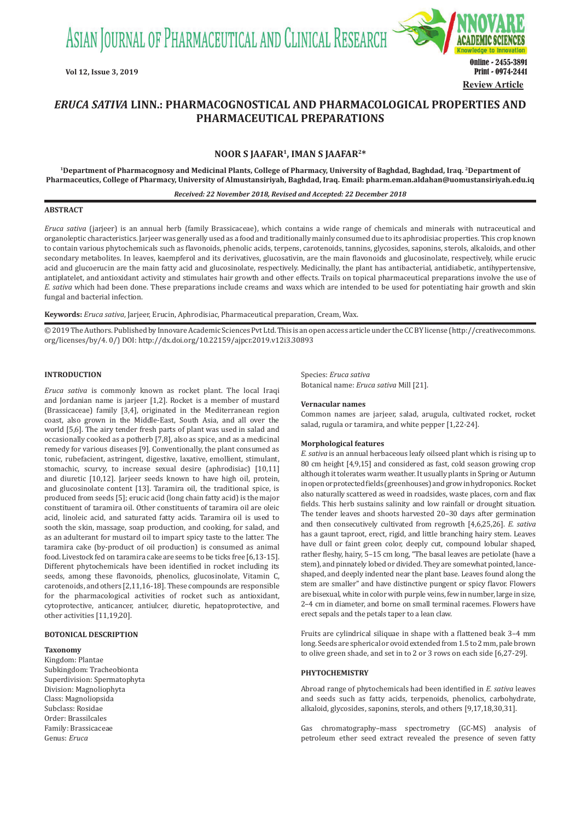ASIAN JOURNAL OF PHARMACEUTICAL AND CLINICAL RESEARCH



# *ERUCA SATIVA* **LINN.: PHARMACOGNOSTICAL AND PHARMACOLOGICAL PROPERTIES AND PHARMACEUTICAL PREPARATIONS**

# **NOOR S JAAFAR1, IMAN S JAAFAR2\***

**1Department of Pharmacognosy and Medicinal Plants, College of Pharmacy, University of Baghdad, Baghdad, Iraq. 2Department of Pharmaceutics, College of Pharmacy, University of Almustansiriyah, Baghdad, Iraq. Email: pharm.eman.aldahan@uomustansiriyah.edu.iq**

*Received: 22 November 2018, Revised and Accepted: 22 December 2018*

# **ABSTRACT**

*Eruca sativa* (jarjeer) is an annual herb (family Brassicaceae), which contains a wide range of chemicals and minerals with nutraceutical and organoleptic characteristics. Jarjeer was generally used as a food and traditionally mainly consumed due to its aphrodisiac properties. This crop known to contain various phytochemicals such as flavonoids, phenolic acids, terpens, carotenoids, tannins, glycosides, saponins, sterols, alkaloids, and other secondary metabolites. In leaves, kaempferol and its derivatives, glucosativin, are the main flavonoids and glucosinolate, respectively, while erucic acid and glucoerucin are the main fatty acid and glucosinolate, respectively. Medicinally, the plant has antibacterial, antidiabetic, antihypertensive, antiplatelet, and antioxidant activity and stimulates hair growth and other effects. Trails on topical pharmaceutical preparations involve the use of *E. sativa* which had been done. These preparations include creams and waxs which are intended to be used for potentiating hair growth and skin fungal and bacterial infection.

**Keywords:** *Eruca sativa*, Jarjeer, Erucin, Aphrodisiac, Pharmaceutical preparation, Cream, Wax.

© 2019 The Authors. Published by Innovare Academic Sciences Pvt Ltd. This is an open access article under the CC BY license (http://creativecommons. org/licenses/by/4. 0/) DOI: http://dx.doi.org/10.22159/ajpcr.2019.v12i3.30893

# **INTRODUCTION**

*Eruca sativa* is commonly known as rocket plant. The local Iraqi and Jordanian name is jarjeer [1,2]. Rocket is a member of mustard (Brassicaceae) family [3,4], originated in the Mediterranean region coast, also grown in the Middle-East, South Asia, and all over the world [5,6]. The airy tender fresh parts of plant was used in salad and occasionally cooked as a potherb [7,8], also as spice, and as a medicinal remedy for various diseases [9]. Conventionally, the plant consumed as tonic, rubefacient, astringent, digestive, laxative, emollient, stimulant, stomachic, scurvy, to increase sexual desire (aphrodisiac) [10,11] and diuretic [10,12]. Jarjeer seeds known to have high oil, protein, and glucosinolate content [13]. Taramira oil, the traditional spice, is produced from seeds [5]; erucic acid (long chain fatty acid) is the major constituent of taramira oil. Other constituents of taramira oil are oleic acid, linoleic acid, and saturated fatty acids. Taramira oil is used to sooth the skin, massage, soap production, and cooking, for salad, and as an adulterant for mustard oil to impart spicy taste to the latter. The taramira cake (by-product of oil production) is consumed as animal food. Livestock fed on taramira cake are seems to be ticks free [6,13-15]. Different phytochemicals have been identified in rocket including its seeds, among these flavonoids, phenolics, glucosinolate, Vitamin C, carotenoids, and others [2,11,16-18]. These compounds are responsible for the pharmacological activities of rocket such as antioxidant, cytoprotective, anticancer, antiulcer, diuretic, hepatoprotective, and other activities [11,19,20].

# **BOTONICAL DESCRIPTION**

#### **Taxonomy**

Kingdom: Plantae Subkingdom: Tracheobionta Superdivision: Spermatophyta Division: Magnoliophyta Class: Magnoliopsida Subclass: Rosidae Order: Brassilcales Family: Brassicaceae Genus: *Eruca*

Species: *Eruca sativa* Botanical name: *Eruca sativa* Mill [21].

#### **Vernacular names**

Common names are jarjeer, salad, arugula, cultivated rocket, rocket salad, rugula or taramira, and white pepper [1,22-24].

### **Morphological features**

*E. sativa* is an annual herbaceous leafy oilseed plant which is rising up to 80 cm height [4,9,15] and considered as fast, cold season growing crop although it tolerates warm weather. It usually plants in Spring or Autumn in open or protected fields (greenhouses) and grow in hydroponics. Rocket also naturally scattered as weed in roadsides, waste places, corn and flax fields. This herb sustains salinity and low rainfall or drought situation. The tender leaves and shoots harvested 20–30 days after germination and then consecutively cultivated from regrowth [4,6,25,26]. *E. sativa*  has a gaunt taproot, erect, rigid, and little branching hairy stem. Leaves have dull or faint green color, deeply cut, compound lobular shaped, rather fleshy, hairy, 5–15 cm long, "The basal leaves are petiolate (have a stem), and pinnately lobed or divided. They are somewhat pointed, lanceshaped, and deeply indented near the plant base. Leaves found along the stem are smaller" and have distinctive pungent or spicy flavor. Flowers are bisexual, white in color with purple veins, few in number, large in size, 2–4 cm in diameter, and borne on small terminal racemes. Flowers have erect sepals and the petals taper to a lean claw.

Fruits are cylindrical siliquae in shape with a flattened beak 3–4 mm long. Seeds are spherical or ovoid extended from 1.5 to 2 mm, pale brown to olive green shade, and set in to 2 or 3 rows on each side [6,27-29].

### **PHYTOCHEMISTRY**

Abroad range of phytochemicals had been identified in *E. sativa* leaves and seeds such as fatty acids, terpenoids, phenolics, carbohydrate, alkaloid, glycosides, saponins, sterols, and others [9,17,18,30,31].

Gas chromatography–mass spectrometry (GC-MS) analysis of petroleum ether seed extract revealed the presence of seven fatty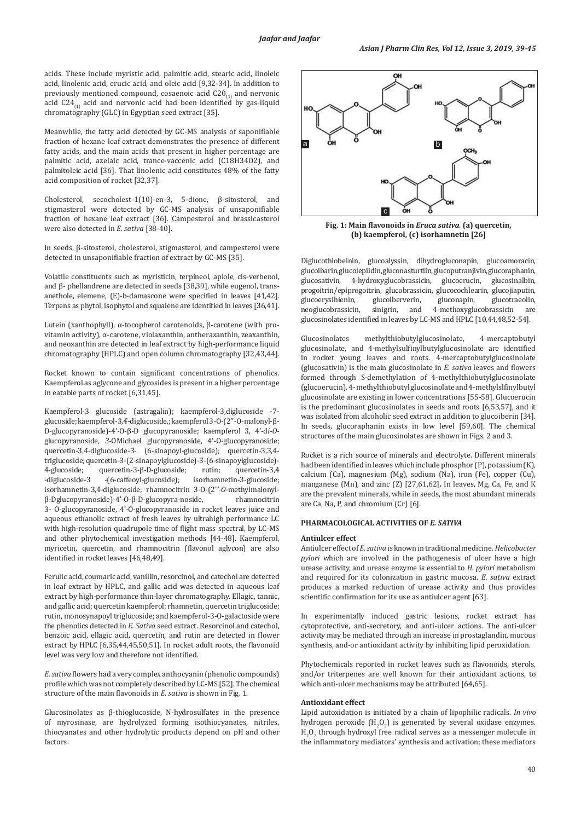acids. These include myristic acid, palmitic acid, stearic acid, linoleic acid, linolenic acid, erucic acid, and oleic acid [9,32-34]. In addition to previously mentioned compound, cosaenoic acid  $C20_{(1)}$  and nervonic acid  $C24_{(1)}$  acid and nervonic acid had been identified by gas-liquid chromatography (GLC) in Egyptian seed extract [35].

Meanwhile, the fatty acid detected by GC-MS analysis of saponifiable fraction of hexane leaf extract demonstrates the presence of different fatty acids, and the main acids that present in higher percentage are palmitic acid, azelaic acid, trance-vaccenic acid (C18H34O2), and palmitoleic acid [36]. That linolenic acid constitutes 48% of the fatty acid composition of rocket [32,37].

Cholesterol, secocholest-1(10)-en-3, 5-dione, β-sitosterol, and stigmasterol were detected by GC-MS analysis of unsaponifiable fraction of hexane leaf extract [36]. Campesterol and brassicasterol were also detected in *E. sativa* [38-40].

In seeds, β-sitosterol, cholesterol, stigmasterol, and campesterol were detected in unsaponifiable fraction of extract by GC-MS [35].

Volatile constituents such as myristicin, terpineol, apiole, cis-verbenol, and β- phellandrene are detected in seeds [38,39], while eugenol, transanethole, elemene, (E)-b-damascone were specified in leaves [41,42]. Terpens as phytol, isophytol and squalene are identified in leaves [36,41].

Lutein (xanthophyll), α-tocopherol carotenoids, β-carotene (with provitamin activity), α-carotene, violaxanthin, antheraxanthin, zeaxanthin, and neoxanthin are detected in leaf extract by high-performance liquid chromatography (HPLC) and open column chromatography [32,43,44].

Rocket known to contain significant concentrations of phenolics. Kaempferol as aglycone and glycosides is present in a higher percentage in eatable parts of rocket [6,31,45].

Kaempferol-3 glucoside (astragalin); kaempferol-3,diglucoside -7 glucoside; kaempferol-3,4́-diglucoside,; kaempferol 3*-*O-(2''*-*O-malonyl-β-D-glucopyranoside)-4'*-*O-β-D glucopyranoside; kaempferol 3, 4'-d*i-O*glucopyranoside, *3-*OMichael glucopyranoside, 4'*-*O-glucopyranoside; quercetin-3,4-diglucoside-3- (6-sinapoyl-glucoside); quercetin-3,3,4triglucoside; quercetin-3-(2-sinapoylglucoside)-3-(6-sinapoylglucoside)-4-glucoside: <br>4-glucoside: quercetin-3-ß-D-glucoside: rutin: quercetin-3.4 4-glucoside; quercetin-3-β-D-glucoside;<br>-diglucoside-3 - (6-caffeoyl-glucoside); isorhamnetin-3-glucoside; isorhamnetin-3,4́-diglucoside; rhamnocitrin 3*-*O-(2'*'-O*-methylmalonylβ-Dglucopyranoside)-4'-0-β-D-glucopyra-noside, 3- O-glucopyranoside, 4'*-*O-glucopyranoside in rocket leaves juice and aqueous ethanolic extract of fresh leaves by ultrahigh performance LC with high-resolution quadrupole time of flight mass spectral, by LC-MS and other phytochemical investigation methods [44-48]. Kaempferol, myricetin, quercetin, and rhamnocitrin (flavonol aglycon) are also identified in rocket leaves [46,48,49].

Ferulic acid, coumaric acid, vanillin, resorcinol, and catechol are detected in leaf extract by HPLC, and gallic acid was detected in aqueous leaf extract by high-performance thin-layer chromatography. Ellagic, tannic, and gallic acid; quercetin kaempferol; rhamnetin, quercetin triglucoside; rutin, monosynapoyl triglucoside; and kaempferol-3-O-galactoside were the phenolics detected in *E. Sativa* seed extract. Resorcinol and catechol, benzoic acid, ellagic acid, quercetin, and rutin are detected in flower extract by HPLC [6,35,44,45,50,51]. In rocket adult roots, the flavonoid level was very low and therefore not identified.

*E. sativa* flowers had a very complex anthocyanin (phenolic compounds) profile which was not completely described by LC-MS [52]. The chemical structure of the main flavonoids in *E. sativa* is shown in Fig. 1.

Glucosinolates as β-thioglucoside, N-hydrosulfates in the presence of myrosinase, are hydrolyzed forming isothiocyanates, nitriles, thiocyanates and other hydrolytic products depend on pH and other factors.



**Fig. 1: Main flavonoids in** *Eruca sativa.* **(a) quercetin, (b) kaempferol, (c) isorhamnetin [26]**

Diglucothiobeinin, glucoalyssin, dihydrogluconapin, glucoamoracin, glucoibarin, glucolepiidin, gluconasturtiin, glucoputranjivin, glucoraphanin, glucosinalbin, 4-hydroxyglucobrassicin, glucoerucin, glucosinalbin, 4-hydroxyglucobrassicin, progoitrin/epiprogoitrin, glucobrassicin, glucocochlearin, glucojiaputin, glucoerysihienin, glucoiberverin, gluconapin, glucotraeolin, glucoerysihienin, glucoiberverin,<br>neoglucobrassicin, sinigrin, and 4-methoxyglucobrassicin are glucosinolates identified in leaves by LC-MS and HPLC [10,44,48,52-54].

Glucosinolates methylthiobutylglucosinolate, 4-mercaptobutyl glucosinolate, and 4-methylsulfinylbutylglucosinolate are identified in rocket young leaves and roots. 4-mercaptobutylglucosinolate (glucosativin) is the main glucosinolate in *E. sativa* leaves and flowers formed through S-demethylation of 4-methylthiobutylglucosinolate (glucoerucin). 4-methylthiobutyl glucosinolate and 4-methylslfinylbutyl glucosinolate are existing in lower concentrations [55-58]. Glucoerucin is the predominant glucosinolates in seeds and roots [6,53,57], and it was isolated from alcoholic seed extract in addition to glucoiberin [34]. In seeds, glucoraphanin exists in low level [59,60]. The chemical structures of the main glucosinolates are shown in Figs. 2 and 3.

Rocket is a rich source of minerals and electrolyte. Different minerals had been identified in leaves which include phosphor (P), potassium (K), calcium (Ca), magnesium (Mg), sodium (Na), iron (Fe), copper (Cu), manganese (Mn), and zinc (Z) [27,61,62]**.** In leaves, Mg, Ca, Fe, and K are the prevalent minerals, while in seeds, the most abundant minerals are Ca, Na, P, and chromium (Cr) [6].

# **PHARMACOLOGICAL ACTIVITIES OF** *E. SATIVA*

#### **Antiulcer effect**

Antiulcer effect of *E. sativa* is known in traditional medicine. *Helicobacter pylori* which are involved in the pathogenesis of ulcer have a high urease activity, and urease enzyme is essential to *H. pylori* metabolism and required for its colonization in gastric mucosa. *E. sativa* extract produces a marked reduction of urease activity and thus provides scientific confirmation for its use as antiulcer agent [63].

In experimentally induced gastric lesions, rocket extract has cytoprotective, anti-secretory, and anti-ulcer actions. The anti-ulcer activity may be mediated through an increase in prostaglandin, mucous synthesis, and-or antioxidant activity by inhibiting lipid peroxidation.

Phytochemicals reported in rocket leaves such as flavonoids, sterols, and/or triterpenes are well known for their antioxidant actions, to which anti-ulcer mechanisms may be attributed [64,65].

# **Antioxidant effect**

Lipid autoxidation is initiated by a chain of lipophilic radicals. *In vivo* hydrogen peroxide  $(H_2O_2)$  is generated by several oxidase enzymes.  $H_2O_2$  through hydroxyl free radical serves as a messenger molecule in the inflammatory mediators' synthesis and activation; these mediators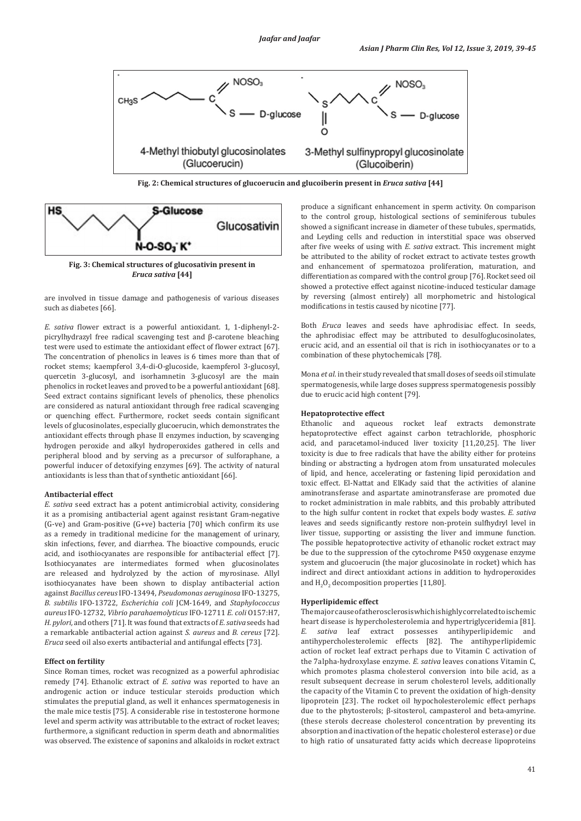

**Fig. 2: Chemical structures of glucoerucin and glucoiberin present in** *Eruca sativa* **[44]**



**Fig. 3: Chemical structures of glucosativin present in** *Eruca sativa* **[44]**

are involved in tissue damage and pathogenesis of various diseases such as diabetes [66].

*E. sativa* flower extract is a powerful antioxidant. 1, 1-diphenyl-2 picrylhydrazyl free radical scavenging test and β-carotene bleaching test were used to estimate the antioxidant effect of flower extract [67]. The concentration of phenolics in leaves is 6 times more than that of rocket stems; kaempferol 3,4-di-O-glucoside, kaempferol 3-glucosyl, quercetin 3-glucosyl, and isorhamnetin 3-glucosyl are the main phenolics in rocket leaves and proved to be a powerful antioxidant [68]. Seed extract contains significant levels of phenolics, these phenolics are considered as natural antioxidant through free radical scavenging or quenching effect. Furthermore, rocket seeds contain significant levels of glucosinolates, especially glucoerucin, which demonstrates the antioxidant effects through phase II enzymes induction, by scavenging hydrogen peroxide and alkyl hydroperoxides gathered in cells and peripheral blood and by serving as a precursor of sulforaphane, a powerful inducer of detoxifying enzymes [69]. The activity of natural antioxidants is less than that of synthetic antioxidant [66].

### **Antibacterial effect**

*E. sativa* seed extract has a potent antimicrobial activity, considering it as a promising antibacterial agent against resistant Gram-negative (G-ve) and Gram-positive (G+ve) bacteria [70] which confirm its use as a remedy in traditional medicine for the management of urinary, skin infections, fever, and diarrhea. The bioactive compounds, erucic acid, and isothiocyanates are responsible for antibacterial effect [7]. Isothiocyanates are intermediates formed when glucosinolates are released and hydrolyzed by the action of myrosinase. Allyl isothiocyanates have been shown to display antibacterial action against *Bacillus cereus* IFO-13494, *Pseudomonas aeruginosa* IFO-13275, *B. subtilis* IFO-13722, *Escherichia coli* JCM-1649, and *Staphylococcus aureus* IFO-12732, *Vibrio parahaemolyticus* IFO-12711 *E. coli* O157:H7, *H. pylori,* and others [71]. It was found that extracts of *E. sativa* seeds had a remarkable antibacterial action against *S. aureus* and *B. cereus* [72]. *Eruca* seed oil also exerts antibacterial and antifungal effects [73].

# **Effect on fertility**

Since Roman times, rocket was recognized as a powerful aphrodisiac remedy [74]. Ethanolic extract of *E. sativa* was reported to have an androgenic action or induce testicular steroids production which stimulates the preputial gland, as well it enhances spermatogenesis in the male mice testis [75]. A considerable rise in testosterone hormone level and sperm activity was attributable to the extract of rocket leaves; furthermore, a significant reduction in sperm death and abnormalities was observed. The existence of saponins and alkaloids in rocket extract produce a significant enhancement in sperm activity. On comparison to the control group, histological sections of seminiferous tubules showed a significant increase in diameter of these tubules, spermatids, and Leyding cells and reduction in interstitial space was observed after five weeks of using with *E. sativa* extract. This increment might be attributed to the ability of rocket extract to activate testes growth and enhancement of spermatozoa proliferation, maturation, and differentiation as compared with the control group [76]. Rocket seed oil showed a protective effect against nicotine-induced testicular damage by reversing (almost entirely) all morphometric and histological modifications in testis caused by nicotine [77].

Both *Eruca* leaves and seeds have aphrodisiac effect. In seeds, the aphrodisiac effect may be attributed to desulfoglucosinolates, erucic acid, and an essential oil that is rich in isothiocyanates or to a combination of these phytochemicals [78].

Mona *et al.* in their study revealed that small doses of seeds oil stimulate spermatogenesis, while large doses suppress spermatogenesis possibly due to erucic acid high content [79].

# **Hepatoprotective effect**

Ethanolic and aqueous rocket leaf extracts demonstrate hepatoprotective effect against carbon tetrachloride, phosphoric acid, and paracetamol-induced liver toxicity [11,20,25]. The liver toxicity is due to free radicals that have the ability either for proteins binding or abstracting a hydrogen atom from unsaturated molecules of lipid, and hence, accelerating or fastening lipid peroxidation and toxic effect. El-Nattat and ElKady said that the activities of alanine aminotransferase and aspartate aminotransferase are promoted due to rocket administration in male rabbits, and this probably attributed to the high sulfur content in rocket that expels body wastes. *E. sativa* leaves and seeds significantly restore non-protein sulfhydryl level in liver tissue, supporting or assisting the liver and immune function. The possible hepatoprotective activity of ethanolic rocket extract may be due to the suppression of the cytochrome P450 oxygenase enzyme system and glucoerucin (the major glucosinolate in rocket) which has indirect and direct antioxidant actions in addition to hydroperoxides and  $H_2O_2$  decomposition properties [11,80].

# **Hyperlipidemic effect**

The major cause of atherosclerosis which is highly correlated to ischemic heart disease is hypercholesterolemia and hypertriglyceridemia [81]. *E. sativa* leaf extract possesses antihyperlipidemic and antihypercholesterolemic effects [82]. The antihyperlipidemic action of rocket leaf extract perhaps due to Vitamin C activation of the 7alpha-hydroxylase enzyme. *E. sativa* leaves conations Vitamin C, which promotes plasma cholesterol conversion into bile acid, as a result subsequent decrease in serum cholesterol levels, additionally the capacity of the Vitamin C to prevent the oxidation of high-density lipoprotein [23]. The rocket oil hypocholesterolemic effect perhaps due to the phytosterols; β-sitosterol, campasterol and beta-amyrine. (these sterols decrease cholesterol concentration by preventing its absorption and inactivation of the hepatic cholesterol esterase) or due to high ratio of unsaturated fatty acids which decrease lipoproteins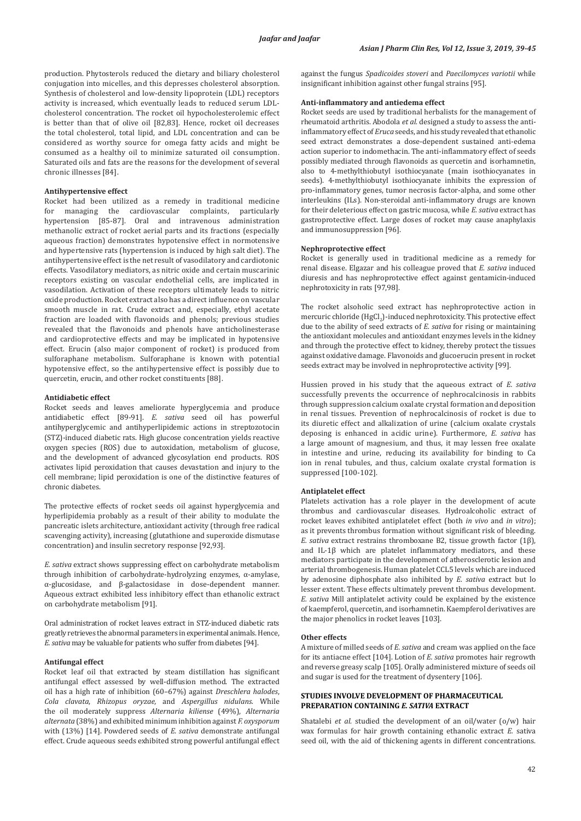production. Phytosterols reduced the dietary and biliary cholesterol conjugation into micelles, and this depresses cholesterol absorption. Synthesis of cholesterol and low-density lipoprotein (LDL) receptors activity is increased, which eventually leads to reduced serum LDLcholesterol concentration. The rocket oil hypocholesterolemic effect is better than that of olive oil [82,83]. Hence, rocket oil decreases the total cholesterol, total lipid, and LDL concentration and can be considered as worthy source for omega fatty acids and might be consumed as a healthy oil to minimize saturated oil consumption. Saturated oils and fats are the reasons for the development of several chronic illnesses [84].

# **Antihypertensive effect**

Rocket had been utilized as a remedy in traditional medicine for managing the cardiovascular complaints, particularly hypertension [85-87]. Oral and intravenous administration methanolic extract of rocket aerial parts and its fractions (especially aqueous fraction) demonstrates hypotensive effect in normotensive and hypertensive rats (hypertension is induced by high salt diet). The antihypertensive effect is the net result of vasodilatory and cardiotonic effects. Vasodilatory mediators, as nitric oxide and certain muscarinic receptors existing on vascular endothelial cells, are implicated in vasodilation. Activation of these receptors ultimately leads to nitric oxide production. Rocket extract also has a direct influence on vascular smooth muscle in rat. Crude extract and, especially, ethyl acetate fraction are loaded with flavonoids and phenols; previous studies revealed that the flavonoids and phenols have anticholinesterase and cardioprotective effects and may be implicated in hypotensive effect. Erucin (also major component of rocket) is produced from sulforaphane metabolism. Sulforaphane is known with potential hypotensive effect, so the antihypertensive effect is possibly due to quercetin, erucin, and other rocket constituents [88].

### **Antidiabetic effect**

Rocket seeds and leaves ameliorate hyperglycemia and produce antidiabetic effect [89-91]. *E. sativa* seed oil has powerful antihyperglycemic and antihyperlipidemic actions in streptozotocin (STZ)-induced diabetic rats. High glucose concentration yields reactive oxygen species (ROS) due to autoxidation, metabolism of glucose, and the development of advanced glycosylation end products. ROS activates lipid peroxidation that causes devastation and injury to the cell membrane; lipid peroxidation is one of the distinctive features of chronic diabetes.

The protective effects of rocket seeds oil against hyperglycemia and hyperlipidemia probably as a result of their ability to modulate the pancreatic islets architecture, antioxidant activity (through free radical scavenging activity), increasing (glutathione and superoxide dismutase concentration) and insulin secretory response [92,93].

*E. sativa* extract shows suppressing effect on carbohydrate metabolism through inhibition of carbohydrate-hydrolyzing enzymes, α-amylase, α-glucosidase, and β-galactosidase in dose-dependent manner. Aqueous extract exhibited less inhibitory effect than ethanolic extract on carbohydrate metabolism [91].

Oral administration of rocket leaves extract in STZ-induced diabetic rats greatly retrieves the abnormal parameters in experimental animals. Hence, *E. sativa* may be valuable for patients who suffer from diabetes [94].

# **Antifungal effect**

Rocket leaf oil that extracted by steam distillation has significant antifungal effect assessed by well-diffusion method. The extracted oil has a high rate of inhibition (60–67%) against *Dreschlera halodes*, *Cola clavata*, *Rhizopus oryzae,* and *Aspergillus nidulans.* While the oil moderately suppress *Alternaria kiliense* (49%), *Alternaria alternata* (38%) and exhibited minimum inhibition against *F. oxysporum* with (13%) [14]. Powdered seeds of *E. sativa* demonstrate antifungal effect. Crude aqueous seeds exhibited strong powerful antifungal effect against the fungus *Spadicoides stoveri* and *Paecilomyces variotii* while insignificant inhibition against other fungal strains [95].

# **Anti-inflammatory and antiedema effect**

Rocket seeds are used by traditional herbalists for the management of rheumatoid arthritis. Abodola *et al.* designed a study to assess the antiinflammatory effect of *Eruca* seeds, and his study revealed that ethanolic seed extract demonstrates a dose-dependent sustained anti-edema action superior to indomethacin. The anti-inflammatory effect of seeds possibly mediated through flavonoids as quercetin and isorhamnetin, also to 4-methylthiobutyl isothiocyanate (main isothiocyanates in seeds). 4-methylthiobutyl isothiocyanate inhibits the expression of pro-inflammatory genes, tumor necrosis factor-alpha, and some other interleukins (ILs). Non-steroidal anti-inflammatory drugs are known for their deleterious effect on gastric mucosa, while *E. sativa* extract has gastroprotective effect. Large doses of rocket may cause anaphylaxis and immunosuppression [96].

## **Nephroprotective effect**

Rocket is generally used in traditional medicine as a remedy for renal disease. Elgazar and his colleague proved that *E. sativa* induced diuresis and has nephroprotective effect against gentamicin-induced nephrotoxicity in rats [97,98].

The rocket alsoholic seed extract has nephroprotective action in mercuric chloride (HgCl $_2$ )-induced nephrotoxicity. This protective effect due to the ability of seed extracts of *E. sativa* for rising or maintaining the antioxidant molecules and antioxidant enzymes levels in the kidney and through the protective effect to kidney, thereby protect the tissues against oxidative damage. Flavonoids and glucoerucin present in rocket seeds extract may be involved in nephroprotective activity [99].

Hussien proved in his study that the aqueous extract of *E. sativa* successfully prevents the occurrence of nephrocalcinosis in rabbits through suppression calcium oxalate crystal formation and deposition in renal tissues. Prevention of nephrocalcinosis of rocket is due to its diuretic effect and alkalization of urine (calcium oxalate crystals deposing is enhanced in acidic urine). Furthermore, *E. sativa* has a large amount of magnesium, and thus, it may lessen free oxalate in intestine and urine, reducing its availability for binding to Ca ion in renal tubules, and thus, calcium oxalate crystal formation is suppressed [100-102].

#### **Antiplatelet effect**

Platelets activation has a role player in the development of acute thrombus and cardiovascular diseases. Hydroalcoholic extract of rocket leaves exhibited antiplatelet effect (both *in vivo* and *in vitro*); as it prevents thrombus formation without significant risk of bleeding. *E. sativa* extract restrains thromboxane B2, tissue growth factor (1β), and IL-1β which are platelet inflammatory mediators, and these mediators participate in the development of atherosclerotic lesion and arterial thrombogenesis. Human platelet CCL5 levels which are induced by adenosine diphosphate also inhibited by *E. sativa* extract but lo lesser extent. These effects ultimately prevent thrombus development. *E. sativa* Mill antiplatelet activity could be explained by the existence of kaempferol, quercetin, and isorhamnetin. Kaempferol derivatives are the major phenolics in rocket leaves [103].

# **Other effects**

A mixture of milled seeds of *E. sativa* and cream was applied on the face for its antiacne effect [104]. Lotion of *E. sativa* promotes hair regrowth and reverse greasy scalp [105]. Orally administered mixture of seeds oil and sugar is used for the treatment of dysentery [106].

# **STUDIES INVOLVE DEVELOPMENT OF PHARMACEUTICAL PREPARATION CONTAINING** *E. SATIVA* **EXTRACT**

Shatalebi *et al.* studied the development of an oil/water (o/w) hair wax formulas for hair growth containing ethanolic extract *E.* sativa seed oil, with the aid of thickening agents in different concentrations.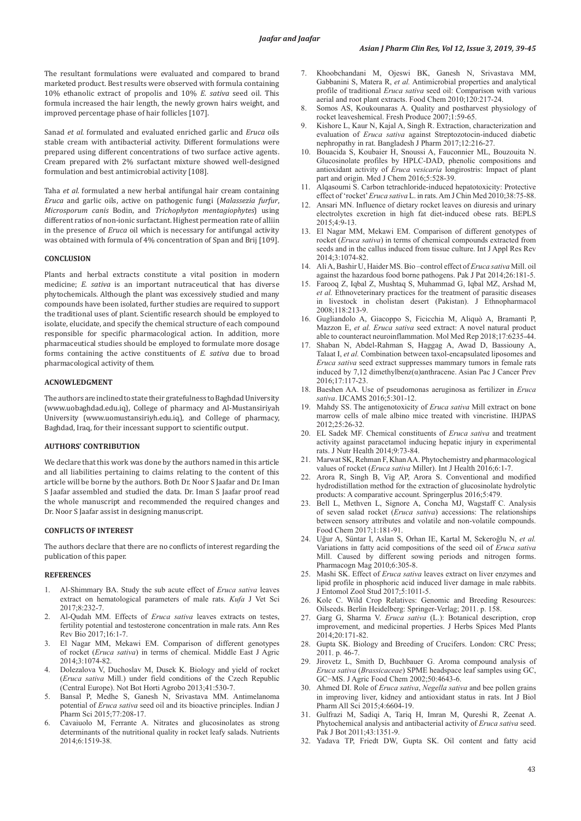The resultant formulations were evaluated and compared to brand marketed product. Best results were observed with formula containing 10% ethanolic extract of propolis and 10% *E. sativa* seed oil. This formula increased the hair length, the newly grown hairs weight, and improved percentage phase of hair follicles [107].

Sanad *et al.* formulated and evaluated enriched garlic and *Eruca* oils stable cream with antibacterial activity. Different formulations were prepared using different concentrations of two surface active agents. Cream prepared with 2% surfactant mixture showed well-designed formulation and best antimicrobial activity [108].

Taha *et al.* formulated a new herbal antifungal hair cream containing *Eruca* and garlic oils, active on pathogenic fungi (*Malassezia furfur*, *Microsporum canis* Bodin, and *Trichophyton mentagiophytes*) using different ratios of non-ionic surfactant. Highest permeation rate of alliin in the presence of *Eruca* oil which is necessary for antifungal activity was obtained with formula of 4% concentration of Span and Brij [109].

## **CONCLUSION**

Plants and herbal extracts constitute a vital position in modern medicine; *E. sativa* is an important nutraceutical that has diverse phytochemicals. Although the plant was excessively studied and many compounds have been isolated, further studies are required to support the traditional uses of plant. Scientific research should be employed to isolate, elucidate, and specify the chemical structure of each compound responsible for specific pharmacological action. In addition, more pharmaceutical studies should be employed to formulate more dosage forms containing the active constituents of *E. sativa* due to broad pharmacological activity of them.

### **ACNOWLEDGMENT**

The authors are inclined to state their gratefulness to Baghdad University (www.uobaghdad.edu.iq), College of pharmacy and Al-Mustansiriyah University (www.uomustansiriyh.edu.iq), and College of pharmacy, Baghdad, Iraq, for their incessant support to scientific output.

# **AUTHORS' CONTRIBUTION**

We declare that this work was done by the authors named in this article and all liabilities pertaining to claims relating to the content of this article will be borne by the authors. Both Dr. Noor S Jaafar and Dr. Iman S Jaafar assembled and studied the data. Dr. Iman S Jaafar proof read the whole manuscript and recommended the required changes and Dr. Noor S Jaafar assist in designing manuscript.

# **CONFLICTS OF INTEREST**

The authors declare that there are no conflicts of interest regarding the publication of this paper.

# **REFERENCES**

- 1. Al-Shimmary BA. Study the sub acute effect of *Eruca sativa* leaves extract on hematological parameters of male rats. *Kufa* J Vet Sci 2017;8:232-7.
- 2. Al-Qudah MM. Effects of *Eruca sativa* leaves extracts on testes, fertility potential and testosterone concentration in male rats. Ann Res Rev Bio 2017;16:1-7.
- 3. El Nagar MM, Mekawi EM. Comparison of different genotypes of rocket (*Eruca sativa*) in terms of chemical. Middle East J Agric 2014;3:1074-82.
- 4. Dolezalova V, Duchoslav M, Dusek K. Biology and yield of rocket (*Eruca sativa* Mill.) under field conditions of the Czech Republic (Central Europe). Not Bot Horti Agrobo 2013;41:530-7.
- 5. Bansal P, Medhe S, Ganesh N, Srivastava MM. Antimelanoma potential of *Eruca sativa* seed oil and its bioactive principles. Indian J Pharm Sci 2015;77:208-17.
- 6. Cavaiuolo M, Ferrante A. Nitrates and glucosinolates as strong determinants of the nutritional quality in rocket leafy salads. Nutrients 2014;6:1519-38.
- 7. Khoobchandani M, Ojeswi BK, Ganesh N, Srivastava MM, Gabbanini S, Matera R, *et al.* Antimicrobial properties and analytical profile of traditional *Eruca sativa* seed oil: Comparison with various aerial and root plant extracts. Food Chem 2010;120:217-24.
- 8. Somos AS, Koukounaras A. Quality and postharvest physiology of rocket leaveshemical. Fresh Produce 2007;1:59-65.
- 9. Kishore L, Kaur N, Kajal A, Singh R. Extraction, characterization and evaluation of *Eruca sativa* against Streptozotocin-induced diabetic nephropathy in rat. Bangladesh J Pharm 2017;12:216-27.
- 10. Bouacida S, Koubaier H, Snoussi A, Fauconnier ML, Bouzouita N. Glucosinolate profiles by HPLC-DAD, phenolic compositions and antioxidant activity of *Eruca vesicaria* longirostris: Impact of plant part and origin. Med J Chem 2016;5:528-39.
- 11. Alqasoumi S. Carbon tetrachloride-induced hepatotoxicity: Protective effect of 'rocket' *Eruca sativa* L. in rats. Am J Chin Med 2010;38:75-88.
- 12. Ansari MN. Influence of dietary rocket leaves on diuresis and urinary electrolytes excretion in high fat diet-induced obese rats. BEPLS  $2015.4.9 - 13$
- 13. El Nagar MM, Mekawi EM. Comparison of different genotypes of rocket (*Eruca sativa*) in terms of chemical compounds extracted from seeds and in the callus induced from tissue culture. Int J Appl Res Rev 2014;3:1074-82.
- 14. Ali A, Bashir U, Haider MS. Bio –control effect of *Eruca sativa* Mill. oil against the hazardous food borne pathogens. Pak J Pat 2014;26:181-5.
- 15. Farooq Z, Iqbal Z, Mushtaq S, Muhammad G, Iqbal MZ, Arshad M, *et al.* Ethnoveterinary practices for the treatment of parasitic diseases in livestock in cholistan desert (Pakistan). J Ethnopharmacol 2008;118:213-9.
- 16. Gugliandolo A, Giacoppo S, Ficicchia M, Aliquò A, Bramanti P, Mazzon E, *et al. Eruca sativa* seed extract: A novel natural product able to counteract neuroinflammation. Mol Med Rep 2018;17:6235-44.
- 17. Shaban N, Abdel-Rahman S, Haggag A, Awad D, Bassiouny A, Talaat I, *et al.* Combination between taxol-encapsulated liposomes and *Eruca sativa* seed extract suppresses mammary tumors in female rats induced by 7,12 dimethylbenz(α)anthracene. Asian Pac J Cancer Prev 2016;17:117-23.
- 18. Baeshen AA. Use of pseudomonas aeruginosa as fertilizer in *Eruca sativa*. IJCAMS 2016;5:301-12.
- 19. Mahdy SS. The antigenotoxicity of *Eruca sativa* Mill extract on bone marrow cells of male albino mice treated with vincristine. IHJPAS 2012;25:26-32.
- 20. EL Sadek MF. Chemical constituents of *Eruca sativa* and treatment activity against paracetamol inducing hepatic injury in experimental rats. J Nutr Health 2014;9:73-84.
- 21. Marwat SK, Rehman F, Khan AA. Phytochemistry and pharmacological values of rocket (*Eruca sativa* Miller). Int J Health 2016;6:1-7.
- 22. Arora R, Singh B, Vig AP, Arora S. Conventional and modified hydrodistillation method for the extraction of glucosinolate hydrolytic products: A comparative account. Springerplus 2016;5:479.
- 23. Bell L, Methven L, Signore A, Concha MJ, Wagstaff. C. Analysis of seven salad rocket (*Eruca sativa*) accessions: The relationships between sensory attributes and volatile and non-volatile compounds. Food Chem 2017;1:181-91.
- 24. Uğur A, Süntar I, Aslan S, Orhan IE, Kartal M, Sekeroğlu N, *et al.* Variations in fatty acid compositions of the seed oil of *Eruca sativa* Mill. Caused by different sowing periods and nitrogen forms. Pharmacogn Mag 2010;6:305-8.
- 25. Mashi SK. Effect of *Eruca sativa* leaves extract on liver enzymes and lipid profile in phosphoric acid induced liver damage in male rabbits. J Entomol Zool Stud 2017;5:1011-5.
- 26. Kole C. Wild Crop Relatives: Genomic and Breeding Resources: Oilseeds. Berlin Heidelberg: Springer-Verlag; 2011. p. 158.
- 27. Garg G, Sharma V. *Eruca sativa* (L.): Botanical description, crop improvement, and medicinal properties. J Herbs Spices Med Plants 2014;20:171-82.
- 28. Gupta SK. Biology and Breeding of Crucifers. London: CRC Press; 2011. p. 46-7.
- 29. Jirovetz L, Smith D, Buchbauer G. Aroma compound analysis of *Eruca sativa* (*Brassicaceae*) SPME headspace leaf samples using GC, GC−MS. J Agric Food Chem 2002;50:4643-6.
- 30. Ahmed DI. Role of *Eruca sativa*, *Negella sativa* and bee pollen grains in improving liver, kidney and antioxidant status in rats. Int J Biol Pharm All Sci 2015;4:6604-19.
- 31. Gulfrazi M, Sadiqi A, Tariq H, Imran M, Qureshi R, Zeenat A. Phytochemical analysis and antibacterial activity of *Eruca sativa* seed. Pak J Bot 2011;43:1351-9.
- 32. Yadava TP, Friedt DW, Gupta SK. Oil content and fatty acid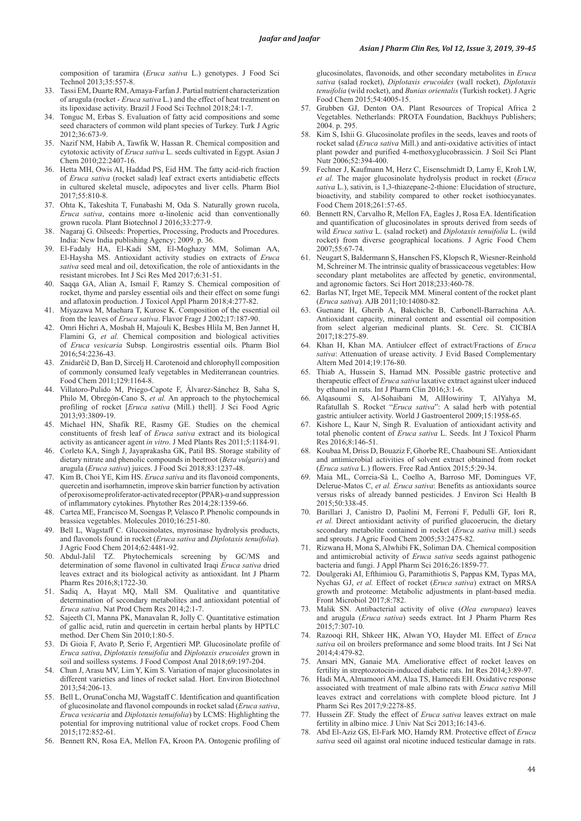composition of taramira (*Eruca sativa* L.) genotypes. J Food Sci Technol 2013;35:557-8.

- 33. Tassi EM, Duarte RM, Amaya-Farfan J. Partial nutrient characterization of arugula (rocket - *Eruca sativa* L.) and the effect of heat treatment on its lipoxidase activity. Brazil J Food Sci Technol 2018;24:1-7.
- 34. Tonguc M, Erbas S. Evaluation of fatty acid compositions and some seed characters of common wild plant species of Turkey. Turk J Agric 2012;36:673-9.
- 35. Nazif NM, Habib A, Tawfik W, Hassan R. Chemical composition and cytotoxic activity of *Eruca sativa* L. seeds cultivated in Egypt. Asian J Chem 2010;22:2407-16.
- 36. Hetta MH, Owis AI, Haddad PS, Eid HM. The fatty acid-rich fraction of *Eruca sativa* (rocket salad) leaf extract exerts antidiabetic effects in cultured skeletal muscle, adipocytes and liver cells. Pharm Biol 2017;55:810-8.
- 37. Ohta K, Takeshita T, Funabashi M, Oda S. Naturally grown rucola, *Eruca sativa*, contains more α-linolenic acid than conventionally grown rucola. Plant Biotechnol J 2016;33:277-9.
- 38. Nagaraj G. Oilseeds: Properties, Processing, Products and Procedures. India: New India publishing Agency; 2009. p. 36.
- 39. El-Fadaly HA, El-Kadi SM, El-Moghazy MM, Soliman AA, El-Haysha MS. Antioxidant activity studies on extracts of *Eruca sativa* seed meal and oil, detoxification, the role of antioxidants in the resistant microbes. Int J Sci Res Med 2017;6:31-51.
- 40. Saqqa GA, Alian A, Ismail F, Ramzy S. Chemical composition of rocket, thyme and parsley essential oils and their effect on some fungi and aflatoxin production. J Toxicol Appl Pharm 2018;4:277-82.
- 41. Miyazawa M, Maehara T, Kurose K. Composition of the essential oil from the leaves of *Eruca sativa*. Flavor Fragr J 2002;17:187-90.
- 42. Omri Hichri A, Mosbah H, Majouli K, Besbes Hlila M, Ben Jannet H, Flamini G, *et al.* Chemical composition and biological activities of *Eruca vesicaria* Subsp. Longirostris essential oils. Pharm Biol 2016;54:2236-43.
- 43. Znidarčič D, Ban D, Sircelj H. Carotenoid and chlorophyll composition of commonly consumed leafy vegetables in Mediterranean countries. Food Chem 2011;129:1164-8.
- 44. Villatoro-Pulido M, Priego-Capote F, Álvarez-Sánchez B, Saha S, Philo M, Obregón-Cano S, *et al.* An approach to the phytochemical profiling of rocket [*Eruca sativa* (Mill.) thell]. J Sci Food Agric 2013;93:3809-19.
- 45. Michael HN, Shafik RE, Rasmy GE. Studies on the chemical constituents of fresh leaf of *Eruca sativa* extract and its biological activity as anticancer agent *in vitro*. J Med Plants Res 2011;5:1184-91.
- 46. Corleto KA, Singh J, Jayaprakasha GK, Patil BS. Storage stability of dietary nitrate and phenolic compounds in beetroot (*Beta vulgaris*) and arugula (*Eruca sativa*) juices. J Food Sci 2018;83:1237-48.
- 47. Kim B, Choi YE, Kim HS. *Eruca sativa* and its flavonoid components, quercetin and isorhamnetin, improve skin barrier function by activation of peroxisome proliferator-activated receptor (PPAR)-α and suppression of inflammatory cytokines. Phytother Res 2014;28:1359-66.
- Cartea ME, Francisco M, Soengas P, Velasco P. Phenolic compounds in brassica vegetables. Molecules 2010;16:251-80.
- 49. Bell L, Wagstaff C. Glucosinolates, myrosinase hydrolysis products, and flavonols found in rocket (*Eruca sativa* and *Diplotaxis tenuifolia*). J Agric Food Chem 2014;62:4481-92.
- 50. Abdul-Jalil TZ. Phytochemicals screening by GC/MS and determination of some flavonol in cultivated Iraqi *Eruca sativa* dried leaves extract and its biological activity as antioxidant. Int J Pharm Pharm Res 2016;8;1722-30.
- 51. Sadiq A, Hayat MQ, Mall SM. Qualitative and quantitative determination of secondary metabolites and antioxidant potential of *Eruca sativa*. Nat Prod Chem Res 2014;2:1-7.
- 52. Sajeeth CI, Manna PK, Manavalan R, Jolly C. Quantitative estimation of gallic acid, rutin and quercetin in certain herbal plants by HPTLC method. Der Chem Sin 2010;1:80-5.
- 53. Di Gioia F, Avato P, Serio F, Argentieri MP. Glucosinolate profile of *Eruca sativa*, *Diplotaxis tenuifolia* and *Diplotaxis erucoides* grown in soil and soilless systems. J Food Compost Anal 2018;69:197-204.
- 54. Chun J, Arasu MV, Lim Y, Kim S. Variation of major glucosinolates in different varieties and lines of rocket salad. Hort. Environ Biotechnol 2013;54:206-13.
- 55. Bell L, OrunaConcha MJ, Wagstaff C. Identification and quantification of glucosinolate and flavonol compounds in rocket salad (*Eruca sativa*, *Eruca vesicaria* and *Diplotaxis tenuifolia*) by LCMS: Highlighting the potential for improving nutritional value of rocket crops. Food Chem 2015;172:852-61.
- 56. Bennett RN, Rosa EA, Mellon FA, Kroon PA. Ontogenic profiling of

glucosinolates, flavonoids, and other secondary metabolites in *Eruca sativa* (salad rocket), *Diplotaxis erucoides* (wall rocket), *Diplotaxis tenuifolia* (wild rocket), and *Bunias orientalis* (Turkish rocket). J Agric Food Chem 2015;54:4005-15.

- 57. Grubben GJ, Denton OA. Plant Resources of Tropical Africa 2 Vegetables. Netherlands: PROTA Foundation, Backhuys Publishers; 2004. p. 295.
- 58. Kim S, Ishii G. Glucosinolate profiles in the seeds, leaves and roots of rocket salad (*Eruca sativa* Mill.) and anti-oxidative activities of intact plant powder and purified 4-methoxyglucobrassicin. J Soil Sci Plant Nutr 2006;52:394-400.
- 59. Fechner J, Kaufmann M, Herz C, Eisenschmidt D, Lamy E, Kroh LW, *et al.* The major glucosinolate hydrolysis product in rocket (*Eruca sativa* L.), sativin, is 1,3-thiazepane-2-thione: Elucidation of structure, bioactivity, and stability compared to other rocket isothiocyanates. Food Chem 2018;261:57-65.
- 60. Bennett RN, Carvalho R, Mellon FA, Eagles J, Rosa EA. Identification and quantification of glucosinolates in sprouts derived from seeds of wild *Eruca sativa* L. (salad rocket) and *Diplotaxis tenuifolia* L. (wild rocket) from diverse geographical locations. J Agric Food Chem 2007;55:67-74.
- 61. Neugart S, Baldermann S, Hanschen FS, Klopsch R, Wiesner-Reinhold M, Schreiner M. The intrinsic quality of brassicaceous vegetables: How secondary plant metabolites are affected by genetic, environmental, and agronomic factors. Sci Hort 2018;233:460-78.
- Barlas NT, Irget ME, Tepecik MM. Mineral content of the rocket plant (*Eruca sativa*). AJB 2011;10:14080-82.
- 63. Guenane H, Gherib A, Bakchiche B, Carbonell-Barrachina AA. Antioxidant capacity, mineral content and essential oil composition from select algerian medicinal plants. St. Cerc. St. CICBIA 2017;18:275-89.
- 64. Khan H, Khan MA. Antiulcer effect of extract/Fractions of *Eruca sativa*: Attenuation of urease activity. J Evid Based Complementary Altern Med 2014;19:176-80.
- Thiab A, Hussein S, Hamad MN. Possible gastric protective and therapeutic effect of *Eruca sativa* laxative extract against ulcer induced by ethanol in rats. Int J Pharm Clin 2016;3:1-6.
- 66. Alqasoumi S, Al-Sohaibani M, AlHowiriny T, AlYahya M, Rafatullah S. Rocket "*Eruca sativa*": A salad herb with potential gastric antiulcer activity. World J Gastroenterol 2009;15:1958-65.
- 67. Kishore L, Kaur N, Singh R. Evaluation of antioxidant activity and total phenolic content of *Eruca sativa* L. Seeds. Int J Toxicol Pharm Res 2016;8:146-51.
- 68. Koubaa M, Driss D, Bouaziz F, Ghorbe RE, Chaabouni SE. Antioxidant and antimicrobial activities of solvent extract obtained from rocket (*Eruca sativa* L.) flowers. Free Rad Antiox 2015;5:29-34.
- 69. Maia ML, Correia-Sá L, Coelho A, Barroso MF, Domingues VF, Delerue-Matos C, *et al. Eruca sativa*: Benefits as antioxidants source versus risks of already banned pesticides. J Environ Sci Health B 2015;50:338-45.
- 70. Barillari J, Canistro D, Paolini M, Ferroni F, Pedulli GF, Iori R, *et al.* Direct antioxidant activity of purified glucoerucin, the dietary secondary metabolite contained in rocket (*Eruca sativa* mill.) seeds and sprouts. J Agric Food Chem 2005;53:2475-82.
- 71. Rizwana H, Mona S, Alwhibi FK, Soliman DA. Chemical composition and antimicrobial activity of *Eruca sativa* seeds against pathogenic bacteria and fungi. J Appl Pharm Sci 2016;26:1859-77.
- 72. Doulgeraki AI, Efthimiou G, Paramithiotis S, Pappas KM, Typas MA, Nychas GJ, *et al.* Effect of rocket (*Eruca sativa*) extract on MRSA growth and proteome: Metabolic adjustments in plant-based media. Front Microbiol 2017;8:782.
- 73. Malik SN. Antibacterial activity of olive (*Olea europaea*) leaves and arugula (*Eruca sativa*) seeds extract. Int J Pharm Pharm Res 2015;7:307-10.
- 74. Razooqi RH, Shkeer HK, Alwan YO, Hayder MI. Effect of *Eruca sativa* oil on broilers preformance and some blood traits. Int J Sci Nat 2014;4:479-82.
- Ansari MN, Ganaie MA. Ameliorative effect of rocket leaves on fertility in streptozotocin-induced diabetic rats. Int Res 2014;3:89-97.
- 76. Hadi MA, Almamoori AM, Alaa TS, Hameedi EH. Oxidative response associated with treatment of male albino rats with *Eruca sativa* Mill leaves extract and correlations with complete blood picture. Int J Pharm Sci Res 2017;9:2278-85.
- 77. Hussein ZF. Study the effect of *Eruca sativa* leaves extract on male fertility in albino mice. J Univ Nat Sci 2013;16:143-6.
- 78. Abd El-Aziz GS, El-Fark MO, Hamdy RM. Protective effect of *Eruca sativa* seed oil against oral nicotine induced testicular damage in rats.